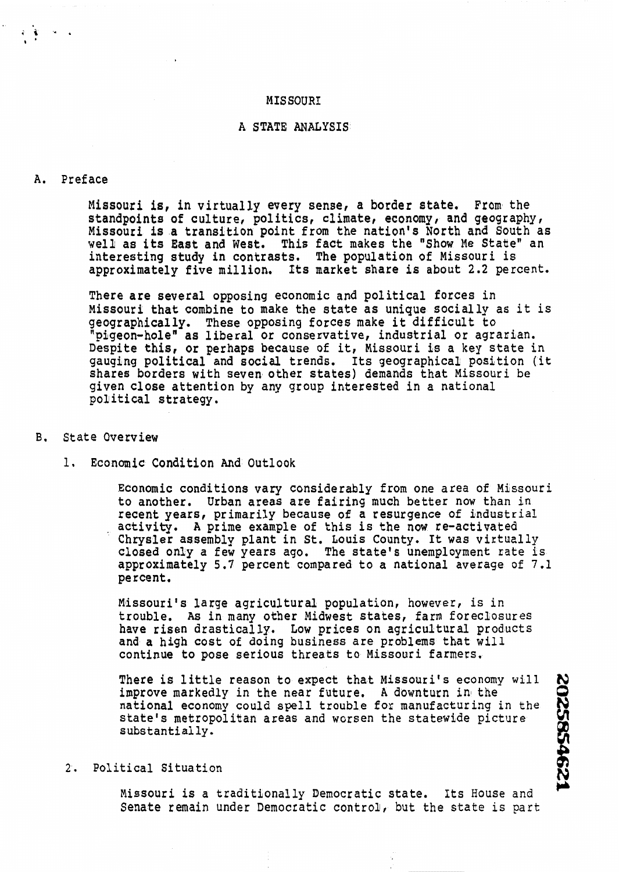#### **MIS SOUR1**

# A STATE ANALYSIS

#### A. Preface

Missouri is, in virtually every sense, a border state. From the standpoints of culture, politics, climate, economy, and geography, Missouri is a transition point from the nation's North and South as well as its East and West. This fact makes the "Show Me State" an interesting study in contrasts. The population of Missouri is approximately five million, Its market share is about 2.2 percent.

There are several opposing economic and political forces in Missouri that combine to make the state as unique socially as it is geographically. These opposing forces make it difficult to<br>"pigeon-hole" as liberal or conservative, industrial or agrarian. Despite this, or perhaps because of it, Missouri is a key state in gauging political and social trends. Its geographical position (it shares borders with seven other states) demands that Missouri be given close attention by any group interested in a national political strategy.

### **B.** State Overview

1. Economic Condition And Outlook

Economic conditions vary considerably from one area of Missouri to another. Urban areas are fairing much better now than in recent years, primarily because of a resurgence of industrial activity. **A** prime example of this is the now re-activated Chrysler assembly plant in St. Louis County. It was virtuzlly closed only a few years ago. The state's unemployment rate is approximately 5.7 percent compared to a national average of 7.1 percent.

Missouri's large agricultural population, however, is in trouble. **As** in many other Midwest states, farm foreclosures have risen drastically. Low prices on agricultural products and a high cost of doing business are problems that will continue to pose serious threats to Missouri farmers,

There is little reason to expect that Missouri's economy will <br>improve markedly in the near future. A downturn in the<br>national economy could spell trouble for manufacturing in the<br>state's metropolitan areas and worsen the improve markedly in the near future. A downturn in the national economy could spell trouble fox manufacturing in the state's metropolitan areas and worsen the statewide picture substantially. There is little reason to expect that Missouri's economy will<br>improve markedly in the near future. A downturn in the<br>mational economy could spell trouble for manufacturing in the<br>state's metropolitan areas and worsen the s

Missouri is a traditionally Democratic state. Its House and Senate remain under Democratic control, but the state is part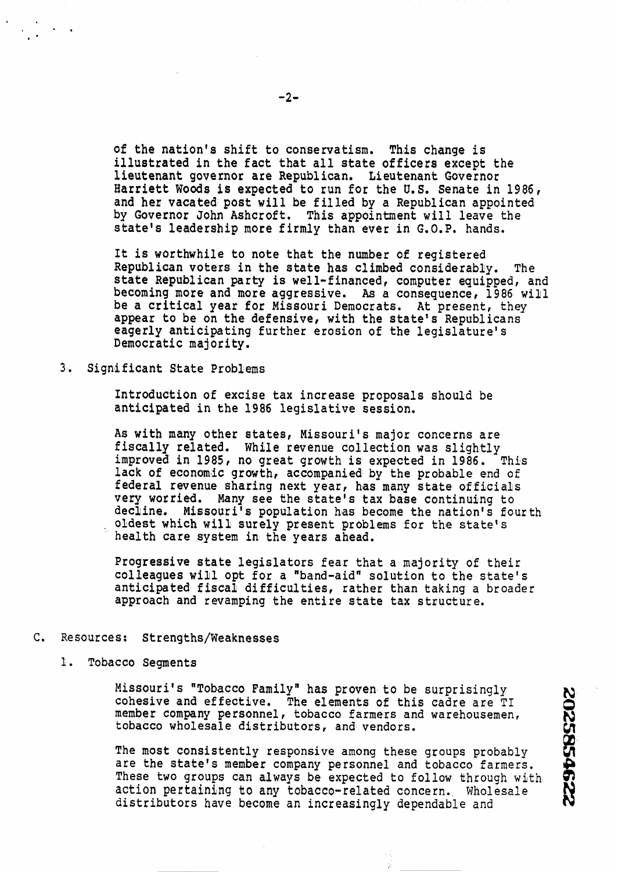of the nation's shift to conservatism. This change is illustrated in the fact that all state officers except the lieutenant governor are Republican. Lieutenant Governor Harciett Woods is expected to run for the **U.S.** Senate in 1986, and her vacated post will be filled by a Republican appointed by Governor John Ashcroft. This appointment will leave the state's leadership more firmly than ever in **G. O.P.** hands.

It is worthwhile to note that the number of registered Republican voters in the state has climbed considerably. The state Republican party is well-financed, computer equipped, and becoming more and more aggressive. As a consequence, 1986 will be a critical year for Missouri Democrats. At present, they appear to be on the defensive, with the state's Republicans eagerly anticipating further erosion of the legislature's Democratic majority.

**3.** Significant State Problems

Introduction of excise tax increase proposals should be anticipated in the 1986 legislative session.

As with many other states, Missouri's major concerns are fiscally related. While revenue collection was slightly improved in 1985, no great growth is expected in 1986. This lack of economic growth, accompanied by the probable end of federal revenue sharing next year, has many state officials very worried. Many see the state's tax base continuing to decline. Missouri's population has become the nation's Eourth oldest which will surely present problems for the state's health care system in the years ahead.

Progressive state legislators fear that a majority of their colleagues will opt for a "band-aid" solution to the state's anticipated fiscal difficulties, rather than taking a broader approach and revamping the entire state tax structure.

- **C.** Resources: Strengths/Weaknesses
	- 1. Tobacco Segments

Missouri's "Tobacco Family" has proven to be surprisingly cohesive and effective, The elements of this cadre are TI conesive and effective. The efements of this cadre are TI<br>nember company personnel, tobacco farmers and warehousemen,<br>cobacco wholesale distributors, and vendors.

N

r<br>Rek

The most consistently responsive among these groups probably are the state's member company personnel and tobacco farmers. These two groups can always be expected to follow through with action pertaining bo **any** tobacco-related concern. Wholesale the che state s member company personnel and cobacto laimers.<br>These two groups can always be expected to follow through with cotion pertaining to any tobacco-related concern. Wholesale<br>istributors have become an increasing

÷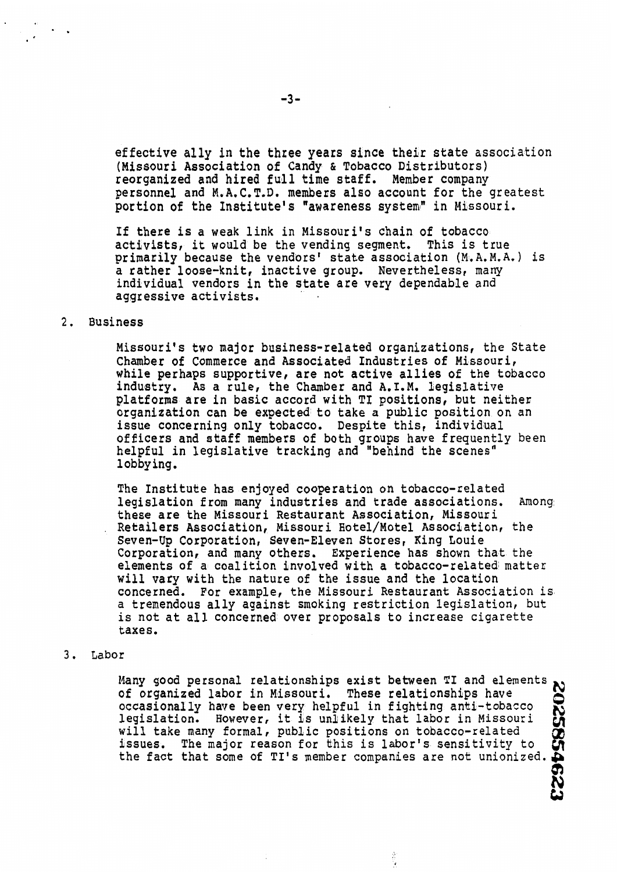effective ally in the three years since their state association (Missouri Association of Candy & Tobacco Distributors) reorganized and hired full time staff. Member company personnel and M.A.C.T.D. members also account for the greatest portion of the Institute's "awareness system" in Missouri.

If there is a weak link in Missouri's chain of tobacco activists, it would be the vending segment. This is true primarily because the vendors' state association  $(M, A, M, A, )$  is a rather loose-knit, inactive group. Nevertheless, many individual vendors in the state are very dependable and aggressive activists.

### 2. Business

Missouri's two major business-related organizations, the State Chamber of Commerce and Associated Industries of Missouri, while perhaps supportive, are not active allies of the tobacco industry. As a rule, the Chamber and **A.** I.M. legislative platforms are in basic accord with TI positions, but neither organization can be expected to take a public position on an issue concerning only tobacco. Despite this, individual officers and staff members of both groups have frequently been helpful in legislative tracking and "behind the scenes" lobbying.

The Institute has enjoyed cooperation on tobacco-related legislation from many industries and trade associations. Among these are the Missouri Restaurant Association, Missouri Retailers Association, Missouri Hotel/Motel Association, the Seven-Up Corporation, Seven-Eleven Stores, King Louie Corporation, and many others. Experience has shown that the elements of a coalition involved with a tobacco-related matter will vary with the nature of the issue and the location concerned. For example, the Missouri Restaurant Association is a tremendous ally against smoking restriction legislation, but is not at all concerned over proposals to increase cigarette taxes.

**3.** Labor

any good personal relationships exist between TI and elements, of organized labor in Missouri. These relationships have<br>A discussionally have been very helpful in fighting anti-tobacco occasionally have been very helpful in fighting anti-tobacco legislation. However, it is unlikely that labor in Missouri will take many formal, public positions on tobacco-related issues. The major reason for this is labor's sensitivity to the fact that some of TI's member companies are not unionized.

 $\frac{3}{2}$ 

W  $\mathbf{z}$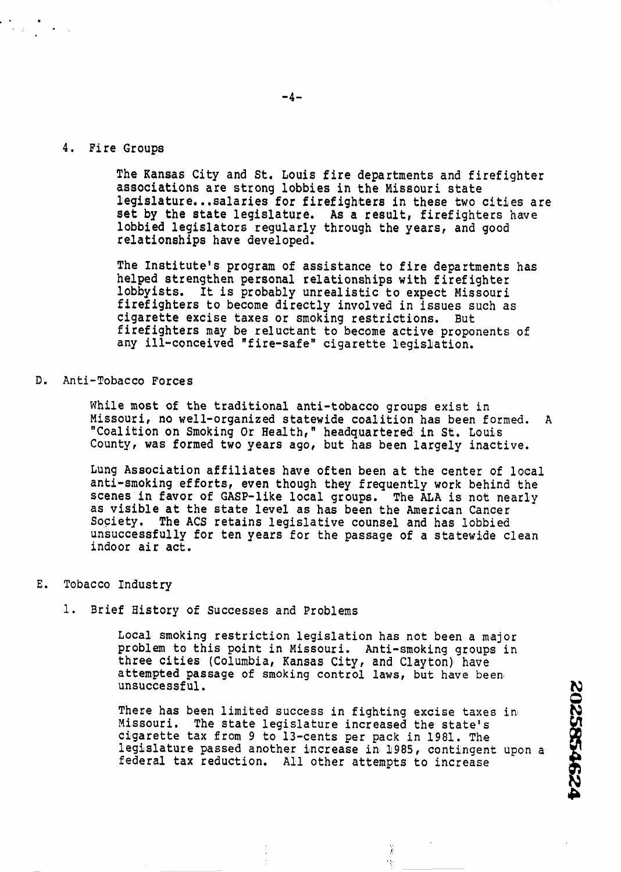### 4. Fire Groups

The Kansas City and St. Louis fire departments and firefighter associations are strong lobbies in the Missouri state legislature.. .salaries for firefighters in these two cities are set by the state legislature. As a result, firefighters have lobbied legislators regularly through the years, and good relationships have developed.

The Institute's program of assistance to fire departments has helped strengthen personal relationships with firefighter lobbyists. It is probably unrealistic to expect Missouri firefighters to become directly involved in issues such as cigarette excise taxes or smoking restrictions. But firefighters may be reluctant to become active proponents of any ill-conceived "fire-safe" cigarette legislation.

# D. Anti-Tobacco Forces

While most of the traditional anti-tobacco groups exist in Missour i, no well-organized statewide coalition has been formed. A "Coalition on Smoking Or Health,' headquartered in **St.** Louis County, was formed two years ago, but has been largely inactive.

Lung Association affiliates have often been at the center of local anti-smoking efforts, even though they frequently work behind the scenes in favor of GASP-like local groups. The **ALA** is not nearly as visible at the state level as has been the American Cancer Society. The ACS retains legislative counsel and has lobbied unsuccessfully for ten years for the passage of a statewide clean indoor air act.

#### E. Tobacco Industry

1. Brief History of Successes and Problems

Local smoking restriction legislation **has** not been **a** major problem to this point in Missouri. Anti-smoking groups in three cities (Columbia, Kansas City, and Clayton) have ttempted passage of smoking control laws, but have been **N**  $\mathbb{N}$ 

There has been limited success in fighting excise taxes in Missouri. The state legislature increased the state's The state legislature increased the state's cigarette tax from 9 to 13-cents per pack in 1981. The legislature **passed** another increase in 1985, contingent upon a frempted passage of smoking control laws, but have been<br>msuccessful.<br>There has been limited success in fighting excise taxes in<br>lissouri. The state legislature increased the state's<br>igarette tax from 9 to 13-cents per pack

> ¥,  $\frac{1}{2}$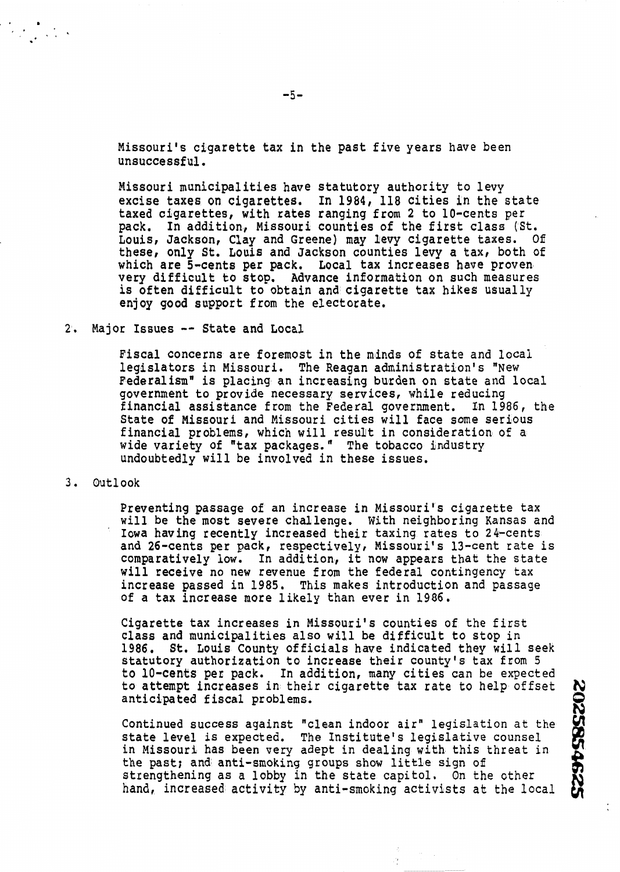Missouri's cigarette tax in the past five years have been unsuccessful.

Missouri municipalities have statutory authority to levy excise **taxes** on cigarettes. In 1984, 118 cities in the state taxed cigarettes, with rates ranging from 2 to 10-cents per pack. In addition, Missouri counties of the first class (St. Louis, Jackson, Clay and Greene) may levy cigarette taxes. Of these, only **St.** Louis and Jackson counties levy a tax, both of which are 5-cents per pack. Local tax increases have proven very difficult to stop. Advance information on such measures is often difficult to obtain and cigarette tax hikes usually enjoy good support from the electorate.

# 2. Major Issues -- State and Local

Fiscal concerns are foremost in the minds of state and local legislators in Missouri. The Reagan administration's "New Federalism" is placing an increasing burden on state and local government to provide necessary services, while reducing financial assistance from the Federal government. In 1986, the State of Missouri and Missouri cities will face some serious financial problems, which will result in consideration of a wide variety of "tax packages." The tobacco industry undoubtedly will be involved in these issues.

**3.** Outlook

Preventing passage of an increase in Missouri's cigarette tax will be the most severe challenge. With neighboring Kansas and Iowa having recently increased their taxing rates to 24-cents and 26-cents per pack, respectively, Missouri's 13-cent rate is comparatively low. In addition, it now appears that the state will receive no new revenue from the federal contingency tax increase passed in 1985. This makes introduction and passage of a tax increase more likely than ever in 1986.

Cigarette tax increases in Missouri's counties of the first class and municipalities also will be difficult to stop in 1986. St. Louis County officials have indicated they will seek statutory authorization to increase their county's tax from 5 to 10-cents **per** pack. In addition, many cities can be expected to attempt increases in their cigarette tax rate to help offset

to attempt increases in their cigarette tax rate to help offset<br>anticipated fiscal problems.<br>Continued success against "clean indoor air" legislation at the<br>state level is expected. The Institute's legislative counsel<br>in M Continued success against "clean indoor air" legislation at the state level is expected. The Institute's legislative counsel in Missouri has been very adept in dealing with this threat in the past; and anti-smoking groups show **little** sign ofi strengthening as a lobby in the state capitol. On the other hand, increased activity by anti-smoking activists at the local